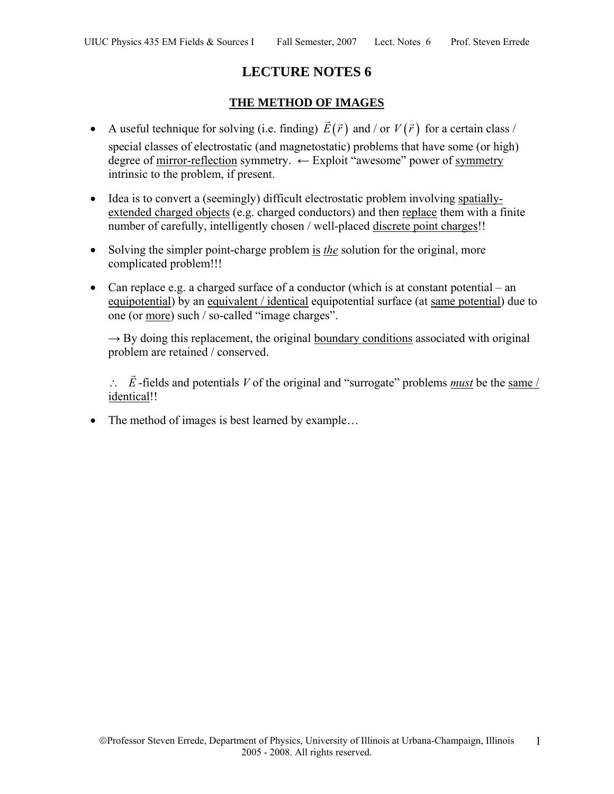# **LECTURE NOTES 6**

## **THE METHOD OF IMAGES**

- A useful technique for solving (i.e. finding)  $\vec{E}(\vec{r})$  and / or  $V(\vec{r})$  for a certain class / special classes of electrostatic (and magnetostatic) problems that have some (or high) degree of mirror-reflection symmetry. ← Exploit "awesome" power of symmetry intrinsic to the problem, if present.
- Idea is to convert a (seemingly) difficult electrostatic problem involving spatiallyextended charged objects (e.g. charged conductors) and then replace them with a finite number of carefully, intelligently chosen / well-placed discrete point charges!!
- Solving the simpler point-charge problem is *the* solution for the original, more complicated problem!!!
- Can replace e.g. a charged surface of a conductor (which is at constant potential an equipotential) by an equivalent / identical equipotential surface (at same potential) due to one (or more) such / so-called "image charges".

 $\rightarrow$  By doing this replacement, the original boundary conditions associated with original problem are retained / conserved.

∴ *E*  $\overline{\phantom{a}}$ -fields and potentials *V* of the original and "surrogate" problems *must* be the same / identical!!

• The method of images is best learned by example...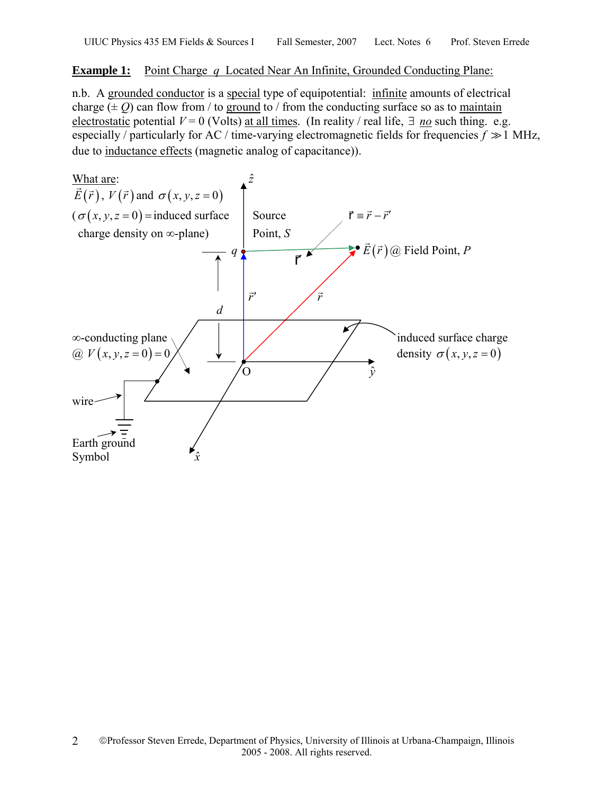## **Example 1:** Point Charge *q* Located Near An Infinite, Grounded Conducting Plane:

n.b. A grounded conductor is a special type of equipotential: infinite amounts of electrical charge  $(\pm 0)$  can flow from / to ground to / from the conducting surface so as to maintain electrostatic potential  $V = 0$  (Volts) at all times. (In reality / real life,  $\exists$  *no* such thing. e.g. especially / particularly for AC / time-varying electromagnetic fields for frequencies  $f \gg 1$  MHz, due to inductance effects (magnetic analog of capacitance)).

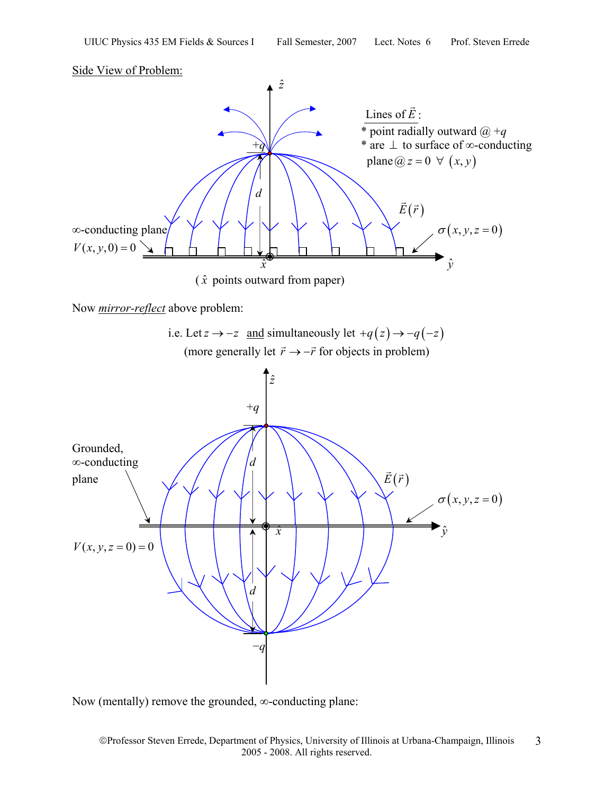Side View of Problem:



Now *mirror-reflect* above problem:



Now (mentally) remove the grounded, ∞-conducting plane: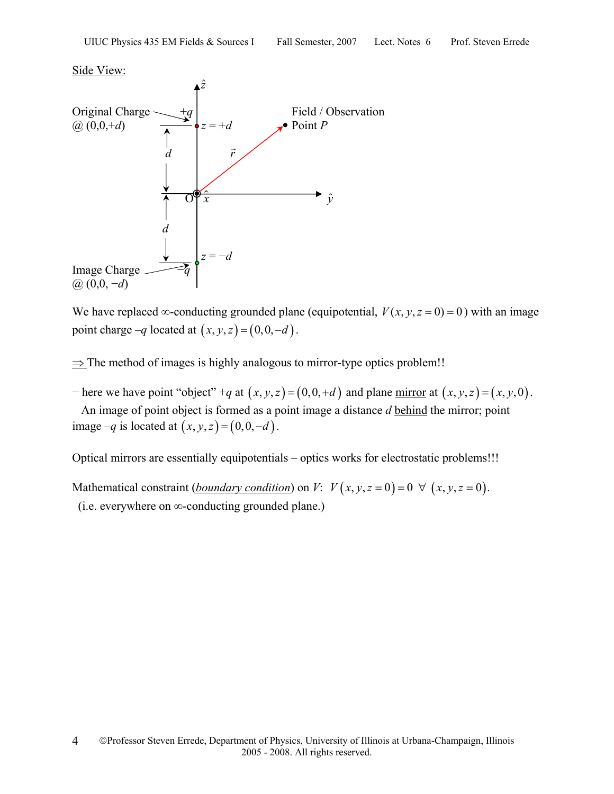#### Side View:



We have replaced ∞-conducting grounded plane (equipotential,  $V(x, y, z = 0) = 0$ ) with an image point charge  $-q$  located at  $(x, y, z) = (0, 0, -d)$ .

 $\Rightarrow$  The method of images is highly analogous to mirror-type optics problem!!

 $-$  here we have point "object" +*q* at  $(x, y, z) = (0, 0, +d)$  and plane <u>mirror</u> at  $(x, y, z) = (x, y, 0)$ .

 An image of point object is formed as a point image a distance *d* behind the mirror; point image  $-q$  is located at  $(x, y, z) = (0, 0, -d)$ .

Optical mirrors are essentially equipotentials – optics works for electrostatic problems!!!

Mathematical constraint (*boundary condition*) on *V*:  $V(x, y, z = 0) = 0 \ \forall (x, y, z = 0)$ . (i.e. everywhere on ∞-conducting grounded plane.)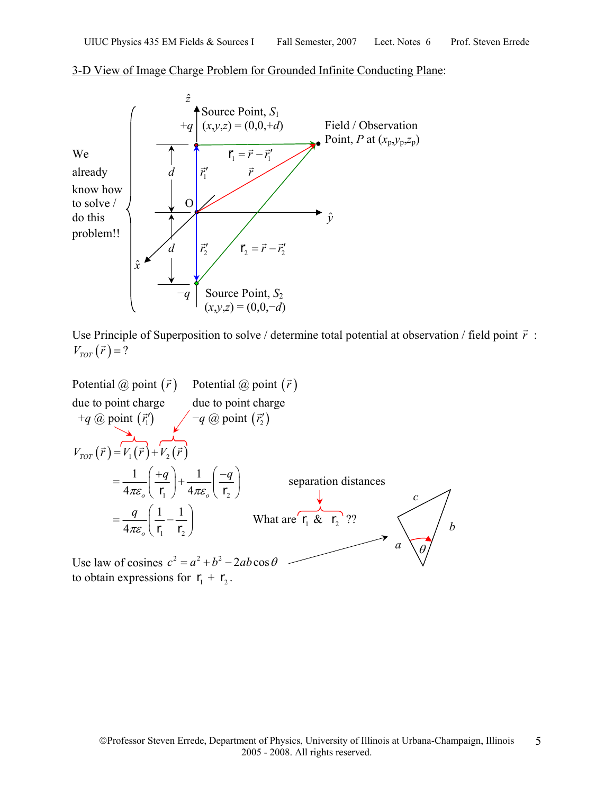

#### 3-D View of Image Charge Problem for Grounded Infinite Conducting Plane:



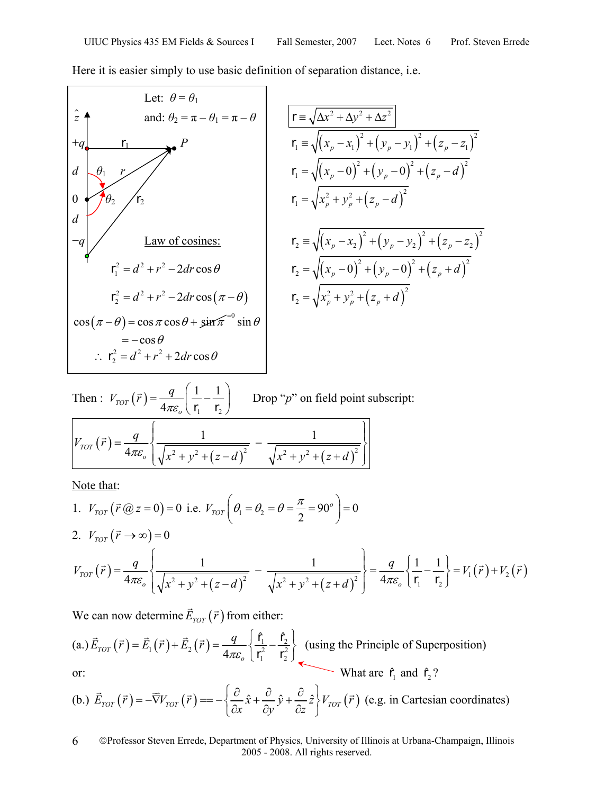Here it is easier simply to use basic definition of separation distance, i.e.

Let:  $\theta = \theta_1$ *z* and:  $\theta_2 = \pi - \theta_1 = \pi - \theta$   $\mathbf{r} = \sqrt{\Delta x^2 + \Delta y^2 + \Delta z^2}$  $+q$  **r**<sub>1</sub> *p P* **i r**<sub>1</sub>  $= \sqrt{(x_p - x_1)^2 + (y_p - y_1)^2 + (z_p - z_1)^2}$ *d*  $\left[ \theta_1 \quad r \right]$   $r_1 = \sqrt{(x_p - 0)^2 + (y_p - 0)^2 + (z_p - d)^2}$ 0  $\sqrt{6}$   $\sqrt{r_2}$  **r**<sub>1</sub> =  $\sqrt{x_p^2 + y_p^2 + (z_p - d)^2}$ *d*  $-q \Big| \Big|$  Law of cosines:  $\qquad \qquad$   $\qquad \qquad$   $\qquad \qquad$   $\qquad \qquad$   $\qquad \qquad$   $\qquad \qquad$   $\qquad \qquad$   $\qquad \qquad$   $\qquad \qquad$   $\qquad \qquad$   $\qquad \qquad$   $\qquad \qquad$   $\qquad \qquad$   $\qquad \qquad$   $\qquad \qquad$   $\qquad \qquad$   $\qquad \qquad$   $\qquad \qquad$   $\qquad \qquad$   $\qquad \qquad$   $\qquad \qquad$   $\qquad \q$  $r_1^2 = d^2 + r^2 - 2dr \cos \theta$  $\mathbf{r}_1^2 = d^2 + r^2 - 2dr\cos\theta$   $\mathbf{r}_2 = \sqrt{(x_p - 0)^2 + (y_p - 0)^2 + (z_p + d)^2}$  $\mathbf{r}_2^2 = d^2 + r^2 - 2dr \cos(\pi - \theta)$   $\mathbf{r}_2 = \sqrt{x_p^2 + y_p^2 + (z_p + d)^2}$  $\mathbf{r}_2 = \sqrt{x_p^2 + y_p^2 + (z_p + d)^2}$  $\cos (\pi - \theta) = \cos \pi \cos \theta + \sin \pi^{-0} \sin \theta$  $=-\cos\theta$  $\therefore$   $\mathbf{r}_2^2 = d^2 + r^2 + 2dr \cos \theta$ 

Then : 
$$
V_{TOT}(\vec{r}) = \frac{q}{4\pi\varepsilon_o} \left( \frac{1}{\mathbf{r}_1} - \frac{1}{\mathbf{r}_2} \right)
$$
 Drop "p" on field point subscript:  

$$
V_{TOT}(\vec{r}) = \frac{q}{4\pi\varepsilon_o} \left\{ \frac{1}{\sqrt{x^2 + y^2 + (z - d)^2}} - \frac{1}{\sqrt{x^2 + y^2 + (z + d)^2}} \right\}
$$

Note that:

1. 
$$
V_{TOT}(\vec{r} \text{ @ } z = 0) = 0
$$
 i.e.  $V_{TOT}(\theta_1 = \theta_2 = \theta = \frac{\pi}{2} = 90^\circ) = 0$   
2.  $V_{TOT}(\vec{r} \to \infty) = 0$ 

$$
V_{TOT}(\vec{r}) = \frac{q}{4\pi\varepsilon_o} \left\{ \frac{1}{\sqrt{x^2 + y^2 + (z - d)^2}} - \frac{1}{\sqrt{x^2 + y^2 + (z + d)^2}} \right\} = \frac{q}{4\pi\varepsilon_o} \left\{ \frac{1}{r_1} - \frac{1}{r_2} \right\} = V_1(\vec{r}) + V_2(\vec{r})
$$

We can now determine  $\vec{E}_{TOT}(\vec{r})$  from either:

(a.) 
$$
\vec{E}_{TOT}(\vec{r}) = \vec{E}_1(\vec{r}) + \vec{E}_2(\vec{r}) = \frac{q}{4\pi\epsilon_o} \left\{ \frac{\hat{\mathbf{r}}_1}{\mathbf{r}_1^2} - \frac{\hat{\mathbf{r}}_2}{\mathbf{r}_2^2} \right\}
$$
 (using the Principle of Superposition)  
or: What are  $\hat{\mathbf{r}}_1$  and  $\hat{\mathbf{r}}_2$ ?

(b.) 
$$
\vec{E}_{TOT}(\vec{r}) = -\nabla V_{TOT}(\vec{r}) = -\left\{ \frac{\partial}{\partial x} \hat{x} + \frac{\partial}{\partial y} \hat{y} + \frac{\partial}{\partial z} \hat{z} \right\} V_{TOT}(\vec{r})
$$
 (e.g. in Cartesian coordinates)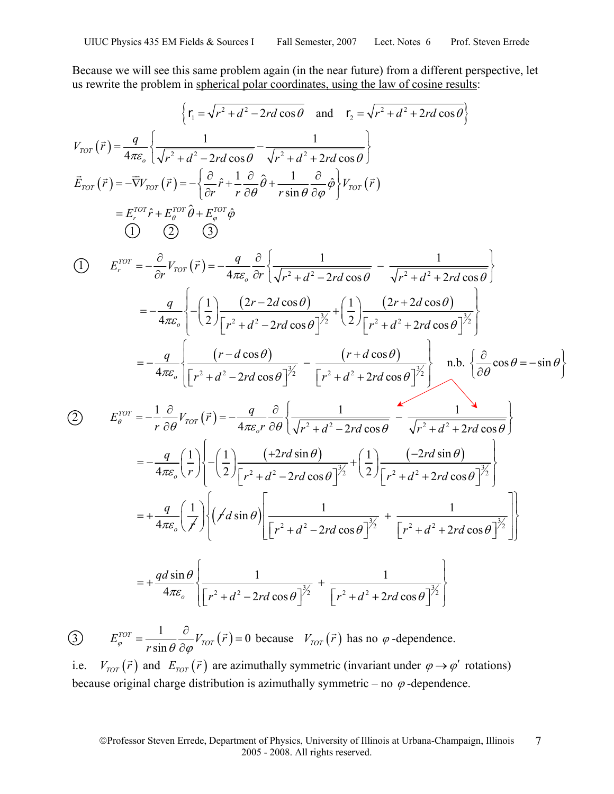Because we will see this same problem again (in the near future) from a different perspective, let us rewrite the problem in spherical polar coordinates, using the law of cosine results:

$$
\{r_1 = \sqrt{r^2 + d^2 - 2rd \cos \theta} \text{ and } r_2 = \sqrt{r^2 + d^2 + 2rd \cos \theta} \nV_{TOT}(\vec{r}) = \frac{q}{4\pi\epsilon_o} \left\{ \frac{1}{\sqrt{r^2 + d^2 - 2rd \cos \theta}} - \frac{1}{\sqrt{r^2 + d^2 + 2rd \cos \theta}} \right\} \n\vec{E}_{TOT}(\vec{r}) = -\nabla V_{TOT}(\vec{r}) = -\left\{ \frac{\partial}{\partial r} \hat{r} + \frac{1}{r} \frac{\partial}{\partial \theta} \hat{\theta} + \frac{1}{r \sin \theta} \frac{\partial}{\partial \phi} \hat{\phi} \right\} V_{TOT}(\vec{r}) \n= E_{\tau}^{TOT} \hat{r} + E_{\theta}^{TOT} \hat{\theta} + E_{\phi}^{TOT} \hat{\phi} \n\text{(I)} \quad \text{(2)} \quad \text{(3)} \nE_{\tau}^{TOT} = -\frac{\partial}{\partial r} V_{TOT}(\vec{r}) = -\frac{q}{4\pi\epsilon_o} \frac{\partial}{\partial r} \left\{ \frac{1}{\sqrt{r^2 + d^2 - 2rd \cos \theta}} - \frac{1}{\sqrt{r^2 + d^2 + 2rd \cos \theta}} \right\} \n= -\frac{q}{4\pi\epsilon_o} \left\{ -\left(\frac{1}{2}\right) \frac{(2r - 2d \cos \theta)}{[r^2 + d^2 - 2rd \cos \theta]^{\frac{3}{2}}} + \left(\frac{1}{2}\right) \frac{(2r + 2d \cos \theta)}{[r^2 + d^2 + 2rd \cos \theta]^{\frac{3}{2}}} \right\} \n= -\frac{q}{4\pi\epsilon_o} \left\{ \frac{(r - d \cos \theta)}{[r^2 + d^2 - 2rd \cos \theta]^{\frac{3}{2}}} - \frac{(r + d \cos \theta)}{[r^2 + d^2 + 2rd \cos \theta]^{\frac{3}{2}}} \right\} \text{ n.b. } \left\{ \frac{\partial}{\partial \theta} \cos \theta = -\sin \theta \right\} \n= -\frac{q}{4\pi\epsilon_o} \left\{ \frac{(r - d \cos \theta)}{[r^2 + d^2 - 2rd \cos \theta]^{\frac{3}{2}}} - \frac{(r + d \cos
$$

3)  $E_{\varphi}^{TOT} = \frac{1}{\hat{C} \cdot \hat{C}} \frac{\partial}{\partial \hat{C}} V_{TOT}(\vec{r}) = 0$  $E_{\varphi}^{TOT} = \frac{1}{r \sin \theta} \frac{\partial}{\partial \varphi} V_{TOT}(\vec{r}) = 0$  because  $V_{TOT}(\vec{r})$  has no  $\varphi$ -dependence.

i.e.  $V_{TOT}(\vec{r})$  and  $E_{TOT}(\vec{r})$  are azimuthally symmetric (invariant under  $\varphi \rightarrow \varphi'$  rotations) because original charge distribution is azimuthally symmetric – no  $\varphi$ -dependence.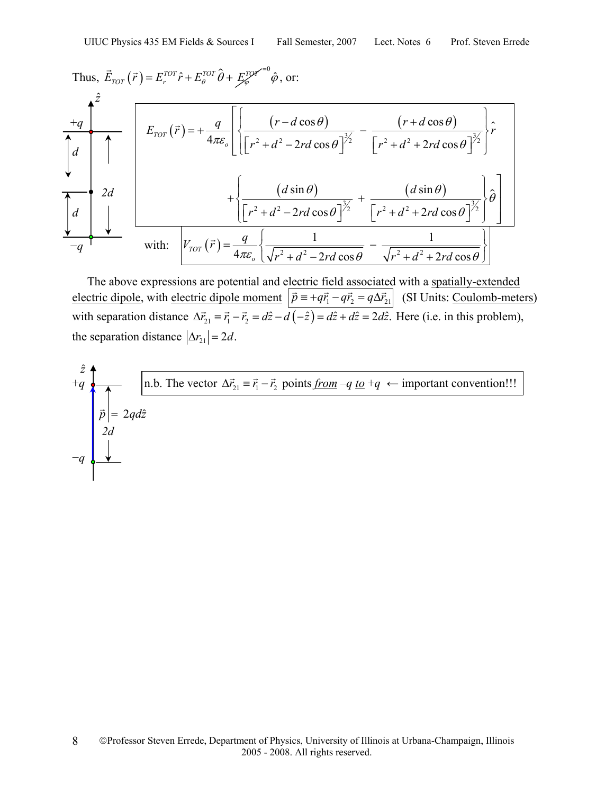Thus, 
$$
\vec{E}_{TOT}(\vec{r}) = E_r^{TOT}\hat{r} + E_{\theta}^{TOT}\hat{\theta} + E_{\phi}^{TOT}\hat{\theta}
$$
, or:  
\n
$$
+\frac{2}{4\pi\epsilon_o} \left[ \frac{(r - d\cos\theta)}{\left[r^2 + d^2 - 2rd\cos\theta\right]^{3/2}} - \frac{(r + d\cos\theta)}{\left[r^2 + d^2 + 2rd\cos\theta\right]^{3/2}} \right] \hat{r}
$$
\n
$$
2d + \frac{2d}{\left[r^2 + d^2 - 2rd\cos\theta\right]^{3/2}} + \frac{(d\sin\theta)}{\left[r^2 + d^2 - 2rd\cos\theta\right]^{3/2}} + \frac{(d\sin\theta)}{\left[r^2 + d^2 + 2rd\cos\theta\right]^{3/2}} \left[\hat{\theta}\right]
$$
\nwith:  $V_{TOT}(\vec{r}) = \frac{q}{4\pi\epsilon_o} \left\{ \frac{1}{\sqrt{r^2 + d^2 - 2rd\cos\theta}} - \frac{1}{\sqrt{r^2 + d^2 + 2rd\cos\theta}} \right\}$ 

 The above expressions are potential and electric field associated with a spatially-extended electric dipole, with electric dipole moment  $\vec{p} = +q\vec{r_1} - q\vec{r_2} = q\Delta\vec{r_2}$  (SI Units: Coulomb-meters) with separation distance  $\Delta \vec{r}_{21} = \vec{r}_1 - \vec{r}_2 = d\hat{z} - d(-\hat{z}) = d\hat{z} + d\hat{z} = 2d\hat{z}$ . Here (i.e. in this problem), the separation distance  $|\Delta r_{21}| = 2d$ .

$$
\vec{a} \cdot \vec{a}
$$
\n
$$
\vec{b} = 2qd\hat{z}
$$
\n
$$
-q \begin{bmatrix}\n\overrightarrow{a} & \overrightarrow{a} & \overrightarrow{a} \\
\overrightarrow{b} & \overrightarrow{c} & \overrightarrow{d} \\
\overrightarrow{d} & \overrightarrow{d}\n\end{bmatrix}
$$
\n
$$
\vec{a} \cdot \vec{a} = \vec{a} \cdot \vec{a} + \vec{b} \cdot \vec{a}
$$
\n
$$
\vec{b} = 2qd\hat{z}
$$
\n
$$
\vec{a} \cdot \vec{a} = \vec{a} \cdot \vec{a}
$$
\n
$$
\vec{b} = 2qd\hat{z}
$$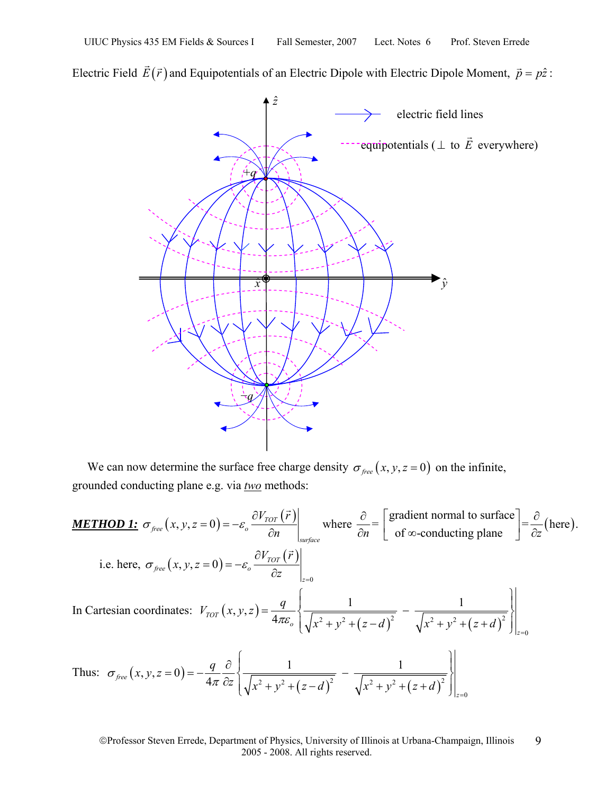Electric Field  $\vec{E}(\vec{r})$  and Equipotentials of an Electric Dipole with Electric Dipole Moment,  $\vec{p} = p\hat{z}$ :



We can now determine the surface free charge density  $\sigma_{free}(x, y, z = 0)$  on the infinite, grounded conducting plane e.g. via *two* methods:

**METHOD 1:** 
$$
\sigma_{free}(x, y, z = 0) = -\varepsilon_o \frac{\partial V_{TOT}(\vec{r})}{\partial n} \Big|_{surface}
$$
 where  $\frac{\partial}{\partial n} = \left[ \frac{\text{gradient normal to surface}}{\text{of } \infty \text{-conducting plane}} \right] = \frac{\partial}{\partial z} \text{(here)}$ .  
\ni.e. here,  $\sigma_{free}(x, y, z = 0) = -\varepsilon_o \frac{\partial V_{TOT}(\vec{r})}{\partial z} \Big|_{z=0}$   
\nIn Cartesian coordinates:  $V_{TOT}(x, y, z) = \frac{q}{4\pi\varepsilon_o} \left\{ \frac{1}{\sqrt{x^2 + y^2 + (z - d)^2}} - \frac{1}{\sqrt{x^2 + y^2 + (z + d)^2}} \right\} \Big|_{z=0}$   
\nThus:  $\sigma_{free}(x, y, z = 0) = -\frac{q}{4\pi} \frac{\partial}{\partial z} \left\{ \frac{1}{\sqrt{x^2 + y^2 + (z - d)^2}} - \frac{1}{\sqrt{x^2 + y^2 + (z + d)^2}} \right\} \Big|_{z=0}$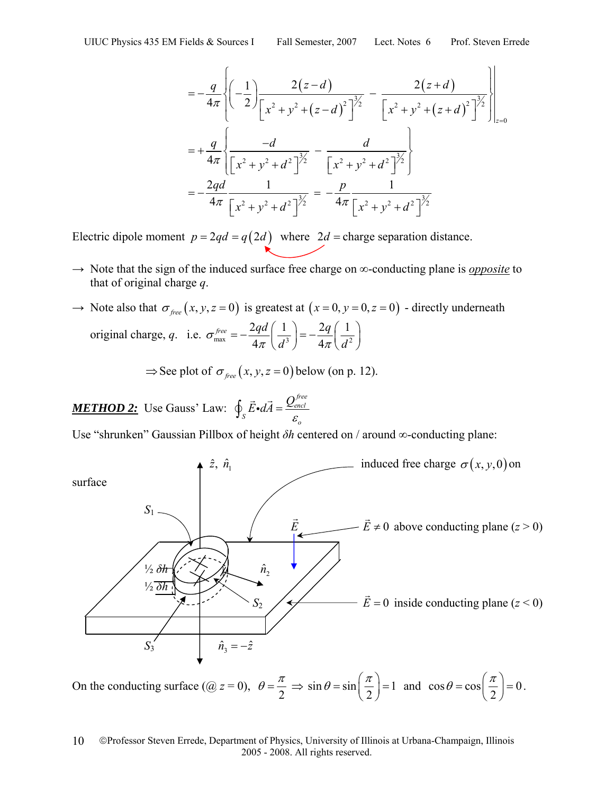$$
= -\frac{q}{4\pi} \left\{ \left( -\frac{1}{2} \right) \frac{2(z-d)}{\left[ x^2 + y^2 + (z-d)^2 \right]^{\frac{3}{2}}} - \frac{2(z+d)}{\left[ x^2 + y^2 + (z+d)^2 \right]^{\frac{3}{2}}} \right\} \Big|_{z=0}
$$
  

$$
= +\frac{q}{4\pi} \left\{ \frac{-d}{\left[ x^2 + y^2 + d^2 \right]^{\frac{3}{2}}} - \frac{d}{\left[ x^2 + y^2 + d^2 \right]^{\frac{3}{2}}} \right\}
$$
  

$$
= -\frac{2qd}{4\pi} \frac{1}{\left[ x^2 + y^2 + d^2 \right]^{\frac{3}{2}}} = -\frac{p}{4\pi} \frac{1}{\left[ x^2 + y^2 + d^2 \right]^{\frac{3}{2}}}
$$

Electric dipole moment  $p = 2qd = q(2d)$  where  $2d =$ charge separation distance.

- → Note that the sign of the induced surface free charge on ∞-conducting plane is *opposite* to that of original charge *q*.
- $\rightarrow$  Note also that  $\sigma_{free}(x, y, z = 0)$  is greatest at  $(x = 0, y = 0, z = 0)$  directly underneath original charge, *q*. i.e.  $\sigma_{\text{max}}^{free} = -\frac{2qd}{4\pi} \left( \frac{1}{d^3} \right) = -\frac{2q}{4\pi} \left( \frac{1}{d^2} \right)$  $4\pi$   $(d^3)$  4 *free*  $q$   $2qd$   $\left( 1\right)$   $2q$  $\sigma_{\text{max}} = -\frac{1}{4\pi} \left( \frac{d^3}{d^3} \right) = -\frac{1}{4\pi} \left( \frac{d}{d} \right)$  $=-\frac{2qd}{4\pi}\left(\frac{1}{d^3}\right)=-\frac{2q}{4\pi}\left(\frac{1}{d^2}\right)$

$$
\Rightarrow
$$
 See plot of  $\sigma_{free}(x, y, z = 0)$  below (on p. 12).

*METHOD 2:* Use Gauss' Law: *free encl S*  $\varepsilon_o$  $\oint_{S} \vec{E} \cdot d\vec{A} = \frac{Q_{\text{eq}}^{f}}{\varepsilon}$ 

Use "shrunken" Gaussian Pillbox of height *δh* centered on / around ∞-conducting plane:



On the conducting surface  $(Q z = 0)$ ,  $\theta = \frac{\pi}{2} \Rightarrow \sin \theta = \sin \left(\frac{\pi}{2}\right) = 1$  $\theta = \sin\left(\frac{\pi}{2}\right) = 1$  and  $\cos\theta = \cos\left(\frac{\pi}{2}\right) = 0$ .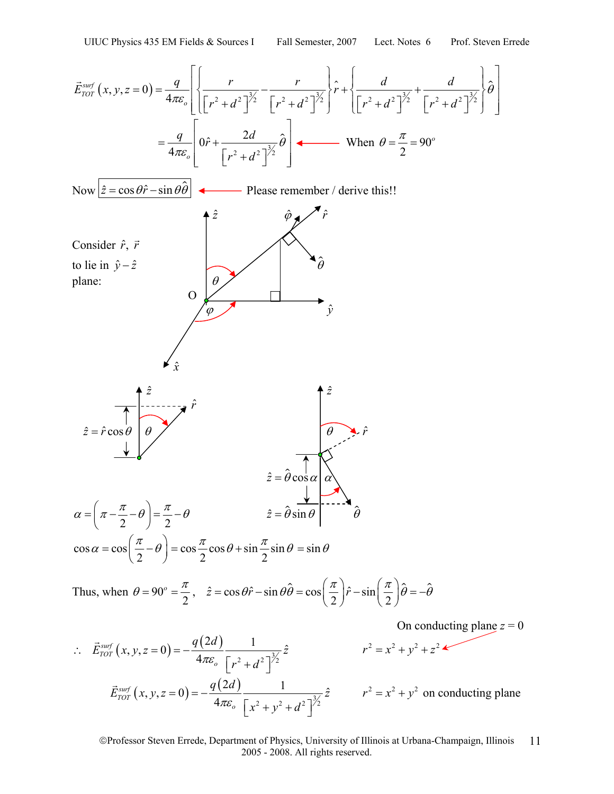$$
\vec{E}_{\text{TOT}}^{\text{asof}}(x, y, z = 0) = \frac{q}{4\pi\varepsilon_o} \left[ \frac{r}{\left[r^2 + d^2\right]^{\frac{3}{2}}} - \frac{r}{\left[r^2 + d^2\right]^{\frac{3}{2}}} \right] \hat{r} + \left\{ \frac{d}{\left[r^2 + d^2\right]^{\frac{3}{2}}} + \frac{d}{\left[r^2 + d^2\right]^{\frac{3}{2}}} \right\} \hat{\theta} \right]
$$
\n
$$
= \frac{q}{4\pi\varepsilon_o} \left[ 0\hat{r} + \frac{2d}{\left[r^2 + d^2\right]^{\frac{3}{2}}} \hat{\theta} \right] + \text{ When } \theta = \frac{\pi}{2} = 90^\circ
$$
\nNow  $\frac{z = \cos\theta\hat{r} - \sin\theta\hat{\theta}}{\left[\frac{z}{r^2 + d^2}\right]^{\frac{3}{2}}} + \text{ Please remember } t \text{ derive this!!}$ \nConsider  $\hat{r}, \vec{r}$  to lie in  $\hat{y} - \hat{z}$ \n\n
$$
\hat{z} = \hat{r}\cos\theta \qquad \hat{\theta}
$$
\n
$$
\hat{z} = \hat{r}\cos\theta \qquad \hat{\theta}
$$
\n
$$
\alpha = \left(\pi - \frac{\pi}{2} - \theta\right) = \frac{\pi}{2} - \theta \qquad \hat{z} = \hat{\theta}\sin\theta \qquad \hat{\theta}
$$
\n
$$
\cos\alpha = \cos\left(\frac{\pi}{2} - \theta\right) = \cos\frac{\pi}{2}\cos\theta + \sin\frac{\pi}{2}\sin\theta = \sin\theta
$$
\nThus, when  $\theta = 90^\circ = \frac{\pi}{2}$ ,  $\hat{z} = \cos\theta\hat{r} - \sin\theta\hat{\theta} = \cos\left(\frac{\pi}{2}\right)\hat{r} - \sin\left(\frac{\pi}{2}\right)\hat{\theta} = -\hat{\theta}$ \nOn conducting plane  $z = 0$ 

 $\int_{corr}^{surf} (x, y, z=0) = -\frac{q(2d)}{4\pi\varepsilon_0} \frac{1}{\left[x^2 + y^2 + d^2\right]^{\frac{3}{2}}}$ *TOT o*  $\vec{E}_{TOT}^{surf}(x, y, z=0) = -\frac{q(2d)}{4}$  1  $\dot{x} = 0$ ) =  $-\frac{q(\Delta x)}{4\pi\varepsilon_o}$   $\frac{1}{x^2 + y^2 + d^2}$  $\vec{E}_{\text{tor}}^{\text{surf}}(x, y, z=0) = -\frac{q(2d)}{t}$   $\frac{1}{\sqrt{2\pi}}$   $\vec{E}_{\text{tor}}^2(x, y, z=0)$   $\frac{q(2d)}{t}$   $\frac{1}{\sqrt{2\pi}}$   $r^2 = x^2 + y^2$  on conducting plane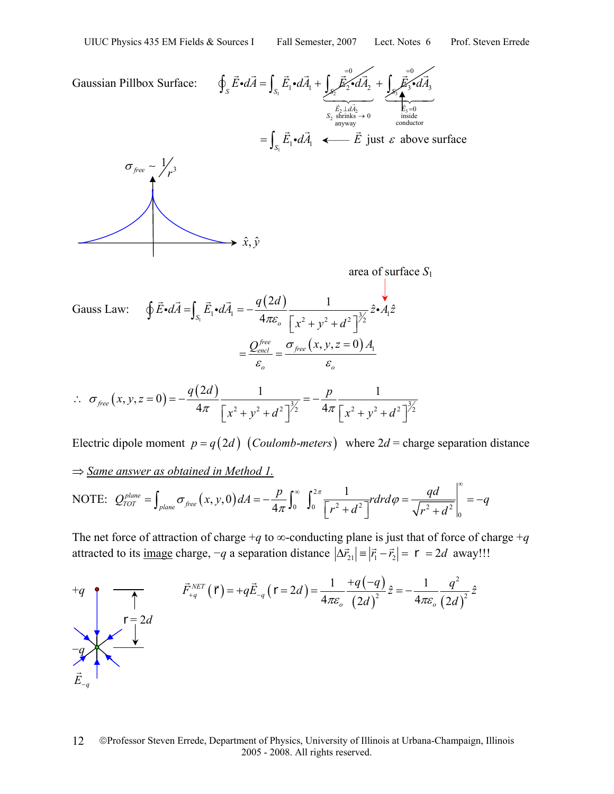⇒ *Same answer as obtained in Method 1.*

Gaussian Pillbox Surface:  $\oint_S \vec{E} \cdot dA = \int_{S_1} \vec{E}_1 \cdot dA_1 + \int_{S_2}$ 0  $\int_{S_1} \vec{E} \cdot dA = \int_{S_1} \vec{E}_1 \cdot dA_1 + \int_{S_2} \vec{E}_2 \cdot dA_2$  $\oint_{S} \vec{E} \cdot d\vec{A} = \int_{S_1} \vec{E}_1 \cdot d\vec{A}_1 + \int_{S_2} \vec{\vec{E}}_2 \cdot d\vec{A}_2 + \int_{S_3}$  $\frac{E_2 \perp aA_2}{2 \text{ shrinks}}$  $\boldsymbol{0}$  $3 - u/13$  $S_2$  shrinks  $\rightarrow 0$ <br>anyway *S*  $E_2 \perp dA$ <br>*S*<sub>2</sub> shrinks  $E_{\rm s}$ odA =  $\perp d\overline{A_2}$ <br>rinks  $\rightarrow$ + ∫  $\overline{\phantom{a}}$  $\vec{E}$  of  $\vec{d}$  $\overrightarrow{E_2}$ <br>  $S_2$  shrinks  $\rightarrow$  0<br>  $S_1$  shrinks  $\rightarrow$  0<br>  $\overrightarrow{E_3}$  inside<br>
conductor *E* = G  $= \int_{S_1}$  $=\int_{S_1} \vec{E}_1 \cdot d\vec{A}_1$  ←  $\vec{E}$ just  $\varepsilon$  above surface  $\sigma_{\text{free}} \sim \frac{1}{3}$  $\sigma_{\text{free}} \sim \frac{1}{r}$  $\rightarrow \hat{x}, \hat{y}$  area of surface *S*<sup>1</sup> Gauss Law:  $\oint \vec{E} \cdot d\vec{A} = \int_{S_1} \vec{E}_1 \cdot d\vec{A}_1 = -\frac{q(2d)}{4\pi \varepsilon_o} \frac{1}{\left[x^2 + v^2 + d^2\right]^{\frac{3}{2}}} \hat{z} \cdot \vec{A}_1 \hat{z}$  $=\int_{S_1} E_1 \cdot dA_1 = -\frac{q(\Delta x)}{4\pi \varepsilon_o} \frac{1}{\left[x^2 + y^2 + d^2\right]}$  $\oint \vec{E} \cdot d\vec{A} = \int_{S_1} \vec{E}_1 \cdot d\vec{A}_1 = -\frac{q(2d)}{4\pi\epsilon} \frac{1}{\sqrt{2}}$  $=\frac{Q_{encl}^{free}}{Q_{encl}} = \frac{\sigma_{free}\left(x,y,z=0\right)A_{1}}{Q_{1}}$ *o o*  $=\frac{Q_{\textit{encl}}^{\textit{free}}}{\mathcal{E}_{\textit{en}}}=\frac{\sigma_{\textit{free}}\left(x,y,z=\right)}{\mathcal{E}_{\textit{en}}}$  $\sigma_{free}(x, y, z=0) = -\frac{q(2d)}{4\pi} \frac{1}{\left[x^2 + y^2 + d^2\right]^{\frac{3}{2}}} = -\frac{p}{4\pi} \frac{1}{\left[x^2 + y^2 + d^2\right]^{\frac{3}{2}}}$  $x^2 + y^2 + d^2$  |  $\frac{4\pi}{x^2 + y^2 + d^2}$ σ ∴  $\sigma_{free}(x, y, z = 0) = -\frac{q(z_0, z_0)}{4\pi} \frac{1}{\left[z_0^2 + z_0^2 + z_0^2\right]^{\frac{3}{2}}} = -\frac{P}{4\pi}$  $\left[x^2+y^2+d^2\right]/2$   $4\pi\left[x^2+y^2+d^2\right]$ 

Electric dipole moment  $p = q(2d)$  (*Coulomb-meters*) where  $2d$  = charge separation distance

NOTE: 
$$
Q_{TOT}^{plane} = \int_{plane} \sigma_{free}(x, y, 0) dA = -\frac{p}{4\pi} \int_0^{\infty} \int_0^{2\pi} \frac{1}{\left[r^2 + d^2\right]} r dr d\varphi = \frac{qd}{\sqrt{r^2 + d^2}} \Big|_0^{\infty} = -q
$$

The net force of attraction of charge +*q* to  $\infty$ -conducting plane is just that of force of charge +*q* attracted to its <u>image</u> charge,  $-q$  a separation distance  $|\Delta \vec{r}_{21}| = |\vec{r}_1 - \vec{r}_2| = r = 2d$  away!!!

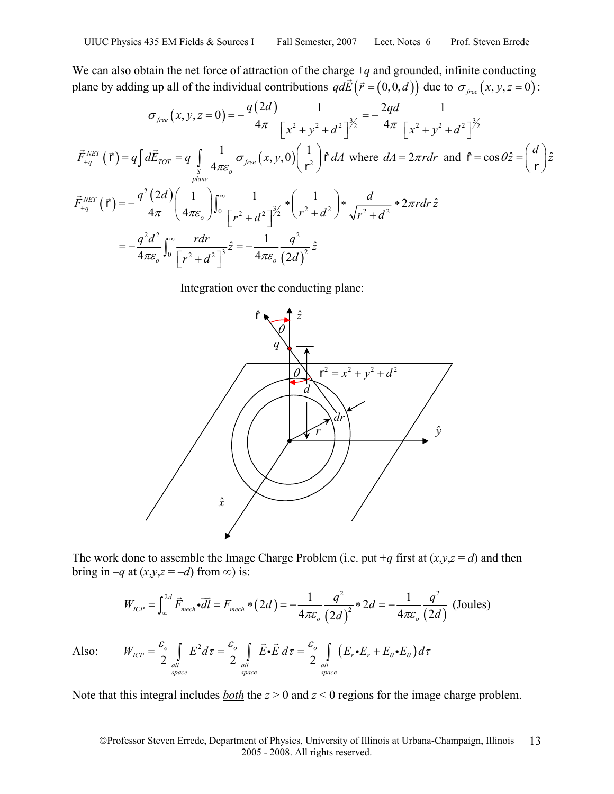We can also obtain the net force of attraction of the charge  $+q$  and grounded, infinite conducting plane by adding up all of the individual contributions  $q d\vec{E}(\vec{r} = (0,0,d))$  due to  $\sigma_{\text{free}}(x, y, z = 0)$ :

$$
\sigma_{free}(x, y, z = 0) = -\frac{q(2d)}{4\pi} \frac{1}{\left[x^2 + y^2 + d^2\right]^{\frac{3}{2}}} = -\frac{2qd}{4\pi} \frac{1}{\left[x^2 + y^2 + d^2\right]^{\frac{3}{2}}}
$$
  

$$
\vec{F}_{+q}^{NET}(\vec{r}) = q \int d\vec{E}_{TOT} = q \int_{S} \frac{1}{4\pi \varepsilon_o} \sigma_{free}(x, y, 0) \left(\frac{1}{\vec{r}^2}\right) \hat{r} dA \text{ where } dA = 2\pi r dr \text{ and } \hat{r} = \cos \theta \hat{z} = \left(\frac{d}{\vec{r}}\right) \hat{z}
$$
  

$$
\vec{F}_{+q}^{NET}(\vec{r}) = -\frac{q^2(2d)}{4\pi} \left(\frac{1}{4\pi \varepsilon_o}\right) \int_0^\infty \frac{1}{\left[r^2 + d^2\right]^{\frac{3}{2}}} * \left(\frac{1}{r^2 + d^2}\right) * \frac{d}{\sqrt{r^2 + d^2}} * 2\pi r dr \hat{z}
$$
  

$$
= -\frac{q^2 d^2}{4\pi \varepsilon_o} \int_0^\infty \frac{r dr}{\left[r^2 + d^2\right]^3} \hat{z} = -\frac{1}{4\pi \varepsilon_o} \frac{q^2}{\left(2d\right)^2} \hat{z}
$$

Integration over the conducting plane:



The work done to assemble the Image Charge Problem (i.e. put  $+q$  first at  $(x, y, z = d)$ ) and then bring in  $-q$  at  $(x,y,z = -d)$  from  $\infty$ ) is:

$$
W_{ICP} = \int_{\infty}^{2d} \vec{F}_{mech} \cdot d\vec{l} = F_{mech} * (2d) = -\frac{1}{4\pi \varepsilon_o} \frac{q^2}{(2d)^2} * 2d = -\frac{1}{4\pi \varepsilon_o} \frac{q^2}{(2d)} \text{ (Joules)}
$$

Also:  $W_{ICP} = \frac{\epsilon_o}{2} \int E^2 d\tau = \frac{\epsilon_o}{2} \int \vec{E} \cdot \vec{E} d\tau = \frac{\epsilon_o}{2} \int (E_r \cdot E_r + E_\theta \cdot E_\theta)$  $2\frac{J}{dl}$   $2\frac{J}{dl}$   $2\frac{J}{dl}$   $2\frac{J}{dl}$  $\bar{L}_{ICP} = \frac{\epsilon_o}{2}$  |  $E^2 d\tau = \frac{\epsilon_o}{2}$  |  $\bar{E} \cdot \bar{E} d\tau = \frac{\epsilon_o}{2}$  |  $(E_r \cdot E_r)$ *all all all space space space*  $W_{ICP} = \frac{\varepsilon_o}{2} \int E^2 d\tau = \frac{\varepsilon_o}{2} \int \vec{E} \cdot \vec{E} d\tau = \frac{\varepsilon_o}{2} \int (E_r \cdot E_r + E_\theta \cdot E_\theta) d\tau$ 

Note that this integral includes *both* the *z* > 0 and *z* < 0 regions for the image charge problem.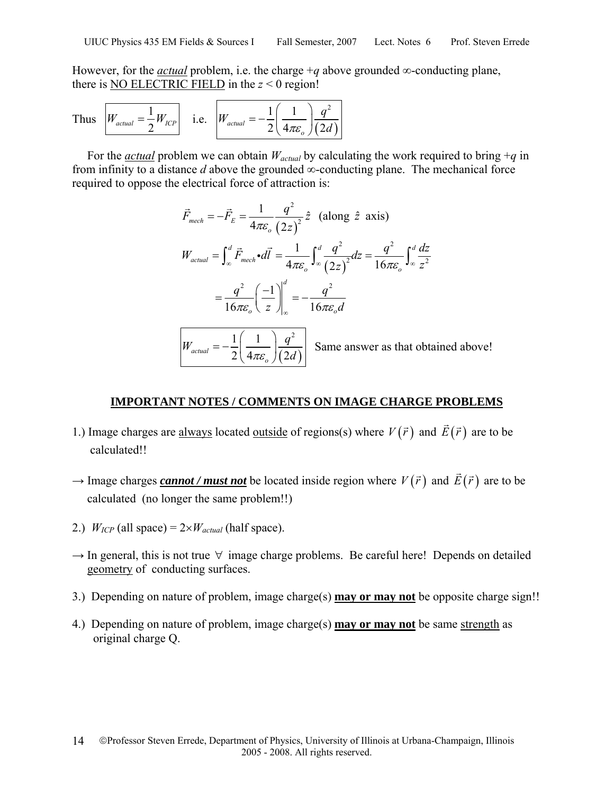However, for the *actual* problem, i.e. the charge  $+q$  above grounded  $\infty$ -conducting plane, there is NO ELECTRIC FIELD in the  $z < 0$  region!

Thus 
$$
W_{actual} = \frac{1}{2} W_{ICP}
$$
 i.e.  $W_{actual} = -\frac{1}{2} \left( \frac{1}{4\pi \varepsilon_o} \right) \frac{q^2}{(2d)}$ 

For the *actual* problem we can obtain  $W_{actual}$  by calculating the work required to bring  $+q$  in from infinity to a distance  $d$  above the grounded  $\infty$ -conducting plane. The mechanical force required to oppose the electrical force of attraction is:

$$
\vec{F}_{mech} = -\vec{F}_E = \frac{1}{4\pi\varepsilon_o} \frac{q^2}{(2z)^2} \hat{z} \quad \text{(along } \hat{z} \text{ axis)}
$$
\n
$$
W_{actual} = \int_{\infty}^d \vec{F}_{mech} \cdot d\vec{l} = \frac{1}{4\pi\varepsilon_o} \int_{\infty}^d \frac{q^2}{(2z)^2} dz = \frac{q^2}{16\pi\varepsilon_o} \int_{\infty}^d \frac{dz}{z^2}
$$
\n
$$
= \frac{q^2}{16\pi\varepsilon_o} \left(\frac{-1}{z}\right) \Big|_{\infty}^d = -\frac{q^2}{16\pi\varepsilon_o d}
$$
\n
$$
W_{actual} = -\frac{1}{2} \left(\frac{1}{4\pi\varepsilon_o}\right) \frac{q^2}{(2d)} \quad \text{Same answer as that obtained above!}
$$

#### **IMPORTANT NOTES / COMMENTS ON IMAGE CHARGE PROBLEMS**

- 1.) Image charges are <u>always</u> located <u>outside</u> of regions(s) where  $V(\vec{r})$  and  $\vec{E}(\vec{r})$  are to be calculated!!
- $\rightarrow$  Image charges *cannot / must not* be located inside region where  $V(\vec{r})$  and  $\vec{E}(\vec{r})$  are to be calculated (no longer the same problem!!)
- 2.)  $W_{ICP}$  (all space) =  $2 \times W_{actual}$  (half space).
- $\rightarrow$  In general, this is not true  $\forall$  image charge problems. Be careful here! Depends on detailed geometry of conducting surfaces.
- 3.) Depending on nature of problem, image charge(s) **may or may not** be opposite charge sign!!
- 4.) Depending on nature of problem, image charge(s) **may or may not** be same strength as original charge Q.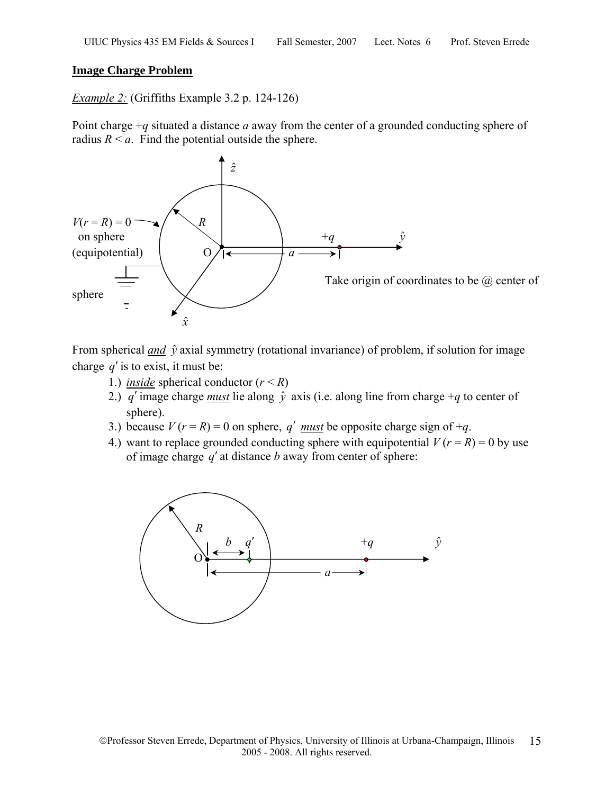### **Image Charge Problem**

*Example 2:* (Griffiths Example 3.2 p. 124-126)

Point charge +*q* situated a distance *a* away from the center of a grounded conducting sphere of radius  $R \le a$ . Find the potential outside the sphere.



From spherical *and*  $\hat{y}$  axial symmetry (rotational invariance) of problem, if solution for image charge *q*′ is to exist, it must be:

- 1.) *inside* spherical conductor  $(r < R)$
- 2.) *q'* image charge *must* lie along  $\hat{y}$  axis (i.e. along line from charge +*q* to center of sphere).
- 3.) because  $V(r = R) = 0$  on sphere, *q' must* be opposite charge sign of  $+q$ .
- 4.) want to replace grounded conducting sphere with equipotential  $V(r = R) = 0$  by use of image charge *q*′ at distance *b* away from center of sphere:

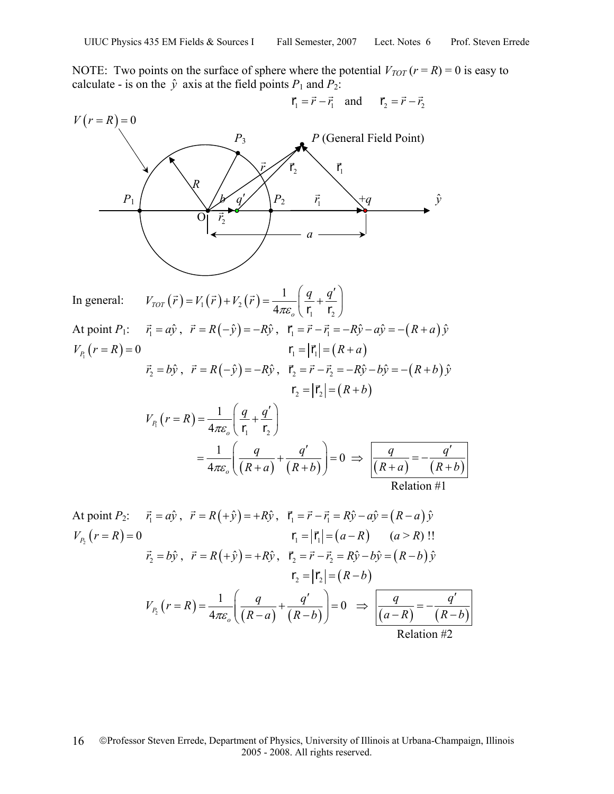NOTE: Two points on the surface of sphere where the potential  $V_{TOT}(r = R) = 0$  is easy to calculate - is on the  $\hat{y}$  axis at the field points  $P_1$  and  $P_2$ :

$$
V(r = R) = 0
$$
\n
$$
P_1
$$
\n
$$
P_2
$$
\n
$$
P_3
$$
\n
$$
P_4
$$
\n
$$
P_1
$$
\n
$$
P_2
$$
\n
$$
P_1
$$
\n
$$
P_2
$$
\n
$$
P_1
$$
\n
$$
P_2
$$
\n
$$
P_1
$$
\n
$$
P_2
$$
\n
$$
P_1
$$
\n
$$
P_2
$$
\n
$$
P_1
$$
\n
$$
P_2
$$
\n
$$
P_1
$$
\n
$$
P_2
$$
\n
$$
P_1
$$
\n
$$
P_2
$$
\n
$$
P_1
$$
\n
$$
P_2
$$
\n
$$
P_1
$$
\n
$$
P_2
$$
\n
$$
P_1
$$
\n
$$
P_2
$$
\n
$$
P_1
$$
\n
$$
P_2
$$
\n
$$
P_1
$$
\n
$$
P_2
$$
\n
$$
P_1
$$
\n
$$
P_2
$$
\n
$$
P_1
$$
\n
$$
P_2
$$
\n
$$
P_1
$$
\n
$$
P_2
$$
\n
$$
P_1
$$
\n
$$
P_2
$$
\n
$$
P_1
$$
\n
$$
P_2
$$
\n
$$
P_1
$$
\n
$$
P_2
$$
\n
$$
P_1
$$
\n
$$
P_2
$$
\n
$$
P_1
$$
\n
$$
P_2
$$
\n
$$
P_2
$$
\n
$$
P_1
$$
\n
$$
P_2
$$
\n
$$
P_2
$$
\n
$$
P_1
$$
\n
$$
P_2
$$
\n
$$
P_2
$$
\n
$$
P_2
$$
\n
$$
P_2
$$
\n
$$
P_1
$$
\n
$$
P_2
$$
\n

At point 
$$
P_2
$$
:  $\vec{r_1} = a\hat{y}$ ,  $\vec{r} = R(+\hat{y}) = +R\hat{y}$ ,  $\vec{r_1} = \vec{r} - \vec{r_1} = R\hat{y} - a\hat{y} = (R-a)\hat{y}$   
\n
$$
V_{P_2}(r = R) = 0
$$
\n
$$
\vec{r_2} = b\hat{y}
$$
\n
$$
\vec{r} = R(+\hat{y}) = +R\hat{y}
$$
\n
$$
\vec{r_2} = \vec{r} - \vec{r_2} = R\hat{y} - b\hat{y} = (R-b)\hat{y}
$$
\n
$$
r_2 = |\vec{r_2}| = (R-b)
$$
\n
$$
V_{P_2}(r = R) = \frac{1}{4\pi\epsilon_o} \left(\frac{q}{(R-a)} + \frac{q'}{(R-b)}\right) = 0 \implies \frac{q}{\sqrt{(a-R)} - \sqrt{(R-b)}} = -\frac{q'}{(R-b)}
$$
\nRelation #2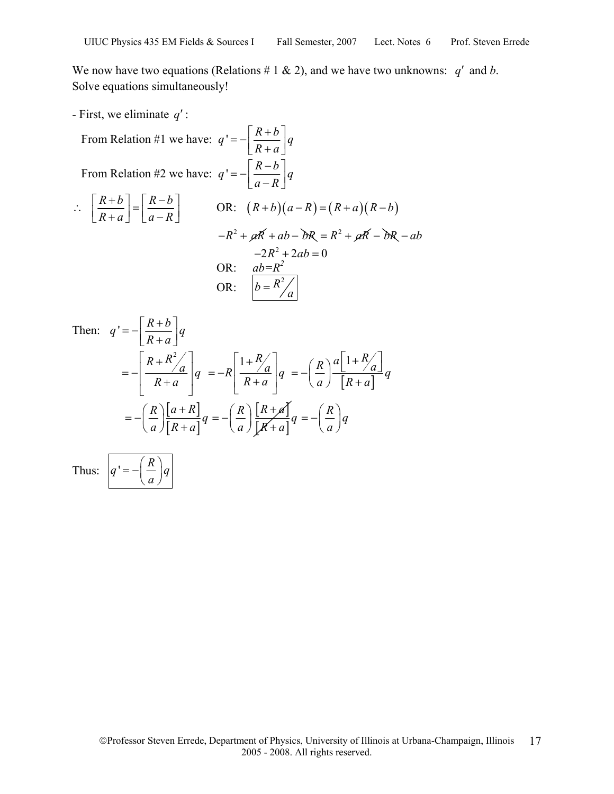We now have two equations (Relations  $# 1 \& 2$ ), and we have two unknowns: *q'* and *b*. Solve equations simultaneously!

- First, we eliminate *q*′ :

From Relation #1 we have: 
$$
q' = -\left[\frac{R+b}{R+a}\right]q
$$
  
\nFrom Relation #2 we have:  $q' = -\left[\frac{R-b}{a-R}\right]q$   
\n
$$
\therefore \left[\frac{R+b}{R+a}\right] = \left[\frac{R-b}{a-R}\right] \qquad \text{OR:} \quad (R+b)(a-R) = (R+a)(R-b)
$$
\n
$$
-R^2 + \cancel{a}R + ab - \cancel{b}R = R^2 + \cancel{a}R - \cancel{b}R - ab
$$
\n
$$
-2R^2 + 2ab = 0
$$
\nOR: 
$$
\frac{ab = R^2}{b = R^2/q}
$$

Then: 
$$
q' = -\left[\frac{R+b}{R+a}\right]q
$$
  
\n
$$
= -\left[\frac{R+R^2}{R+a}\right]q = -R\left[\frac{1+R}{R+a}\right]q = -\left(\frac{R}{a}\right)\frac{a\left[1+R}{[R+a]}\right]q
$$
\n
$$
= -\left(\frac{R}{a}\right)\left[\frac{a+R}{[R+a]}\right]q = -\left(\frac{R}{a}\right)\frac{[R+a]}{[R+a]}q = -\left(\frac{R}{a}\right)q
$$

Thus:  $|q'=-\left(\frac{R}{R}\right)$  $q'$  =  $=-\left(\frac{R}{a}\right)$ 

*a*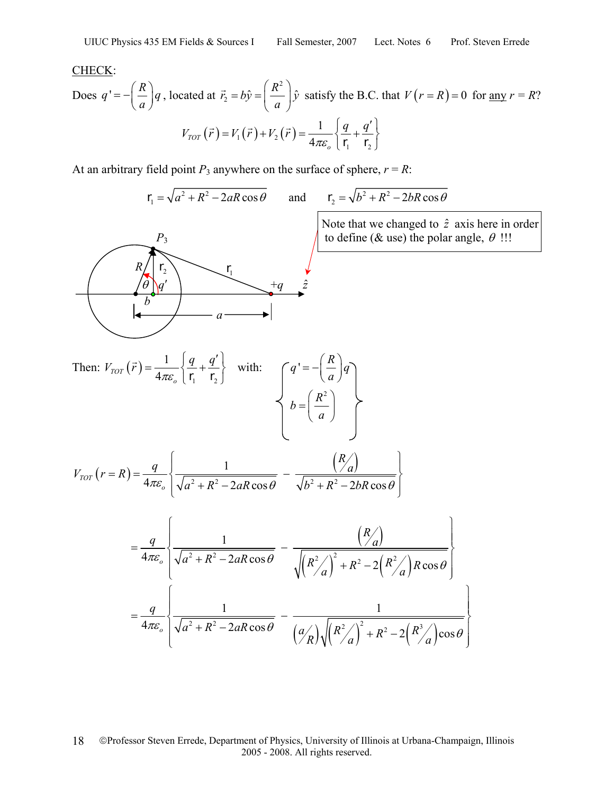#### CHECK:

Does 
$$
q' = -\left(\frac{R}{a}\right)q
$$
, located at  $\vec{r}_2 = b\hat{y} = \left(\frac{R^2}{a}\right)\hat{y}$  satisfy the B.C. that  $V(r = R) = 0$  for any  $r = R$ ?  

$$
V_{TOT}(\vec{r}) = V_1(\vec{r}) + V_2(\vec{r}) = \frac{1}{4\pi\epsilon_o} \left\{ \frac{q}{r_1} + \frac{q'}{r_2} \right\}
$$

At an arbitrary field point  $P_3$  anywhere on the surface of sphere,  $r = R$ :

$$
\mathbf{r}_1 = \sqrt{a^2 + R^2 - 2aR\cos\theta}
$$
 and  $\mathbf{r}_2 = \sqrt{b^2 + R^2}$ 

$$
\mathbf{r}_2 = \sqrt{b^2 + R^2 - 2bR\cos\theta}
$$



 $\left(\overrightarrow{z}\right)$ 

Note that we changed to  $\hat{z}$  axis here in order<br>  $P_3$  (b) define (& use) the polar angle,  $\theta$  !!! to define ( $\&$  use) the polar angle,  $\theta$  !!!

Then: 
$$
V_{TOT}(\vec{r}) = \frac{1}{4\pi\varepsilon_o} \left\{ \frac{q}{r_1} + \frac{q'}{r_2} \right\}
$$
 with:  

$$
V_{fOT}(r = R) = \frac{q}{4\pi\varepsilon_o} \left\{ \frac{1}{\sqrt{r_1^2 + r_2^2 + \left(1 - \frac{q'}{r_1^2}\right)^2 + \left(1 - \frac{q'}{r_1^2}\right)^2}} - \frac{R}{\sqrt{r_1^2 + r_2^2 + \left(1 - \frac{q'}{r_1^2}\right)^2 + \left(1 - \frac{q'}{r_1^2}\right)^2}} \right\}
$$

$$
V_{TOT}(r=R) = \frac{q}{4\pi\epsilon_o} \left\{ \frac{1}{\sqrt{a^2 + R^2 - 2aR\cos\theta}} - \frac{\binom{R}{2}}{\sqrt{b^2 + R^2 - 2bR\cos\theta}} \right\}
$$

$$
= \frac{q}{4\pi\varepsilon_o} \left\{ \frac{1}{\sqrt{a^2 + R^2 - 2aR\cos\theta}} - \frac{R}{\sqrt{R^2/\frac{a}{a^2}}} \right\}
$$

$$
= \frac{q}{4\pi\varepsilon_o} \left\{ \frac{1}{\sqrt{a^2 + R^2 - 2aR\cos\theta}} - \frac{1}{\sqrt{R^2/\frac{a}{a^2}}} \right\}
$$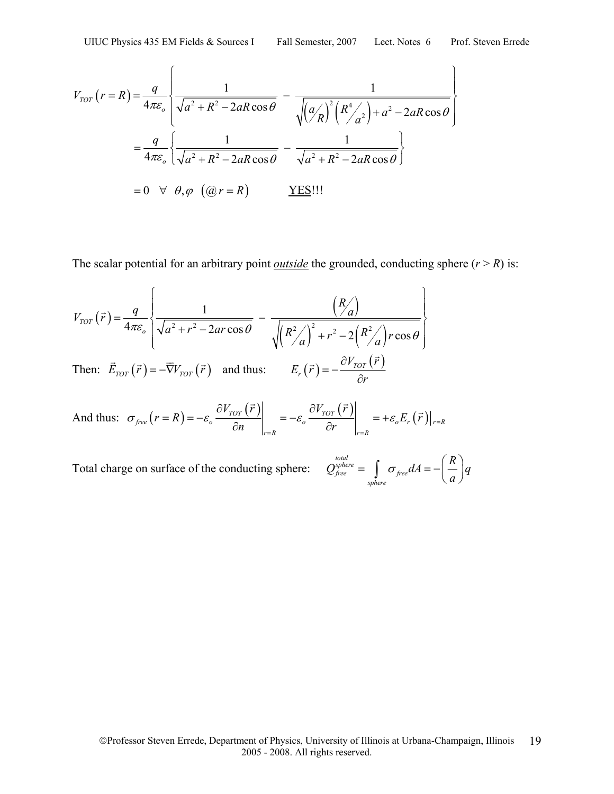$$
V_{TOT}(r=R) = \frac{q}{4\pi\epsilon_o} \left\{ \frac{1}{\sqrt{a^2 + R^2 - 2aR\cos\theta}} - \frac{1}{\sqrt{\left(a/\frac{a}{R}\right)^2 \left(R^4/\frac{a^2}{a^2}\right) + a^2 - 2aR\cos\theta}} \right\}
$$

$$
= \frac{q}{4\pi\epsilon_o} \left\{ \frac{1}{\sqrt{a^2 + R^2 - 2aR\cos\theta}} - \frac{1}{\sqrt{a^2 + R^2 - 2aR\cos\theta}} \right\}
$$

$$
= 0 \quad \forall \quad \theta, \varphi \quad (\varpi = R) \qquad \underline{YES}!!1
$$

The scalar potential for an arbitrary point *<u>outside</u>* the grounded, conducting sphere  $(r > R)$  is:

$$
V_{TOT}(\vec{r}) = \frac{q}{4\pi\varepsilon_o} \left\{ \frac{1}{\sqrt{a^2 + r^2 - 2ar\cos\theta}} - \frac{\left(\frac{R}{a}\right)}{\sqrt{\left(\frac{R^2}{a}\right)^2 + r^2 - 2\left(\frac{R^2}{a}\right)r\cos\theta}} \right\}
$$
  
Then:  $\vec{E}_{TOT}(\vec{r}) = -\vec{\nabla}V_{TOT}(\vec{r})$  and thus:  $E_r(\vec{r}) = -\frac{\partial V_{TOT}(\vec{r})}{\partial r}$ 

And thus: 
$$
\sigma_{free}(r = R) = -\varepsilon_o \frac{\partial V_{TOT}(\vec{r})}{\partial n}\Big|_{r=R} = -\varepsilon_o \frac{\partial V_{TOT}(\vec{r})}{\partial r}\Big|_{r=R} = +\varepsilon_o E_r(\vec{r})\Big|_{r=R}
$$

Total charge on surface of the conducting sphere:

*total sphere free free sphere*  $Q_{free}^{total} = \int \sigma_{free} dA = -\left(\frac{R}{R}\right)q$  $\sigma_{\text{free}}$ *aA* = - $\frac{a}{a}$  $=\int\limits_{sphere}\sigma_{free}dA=-\left(\frac{R}{a}\right)$